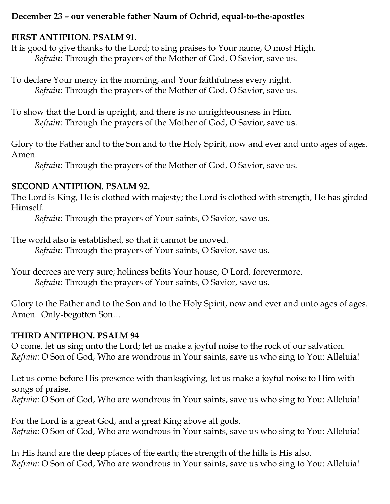#### **December 23 – our venerable father Naum of Ochrid, equal-to-the-apostles**

### **FIRST ANTIPHON. PSALM 91.**

It is good to give thanks to the Lord; to sing praises to Your name, O most High. *Refrain:* Through the prayers of the Mother of God, O Savior, save us.

To declare Your mercy in the morning, and Your faithfulness every night. *Refrain:* Through the prayers of the Mother of God, O Savior, save us.

To show that the Lord is upright, and there is no unrighteousness in Him. *Refrain:* Through the prayers of the Mother of God, O Savior, save us.

Glory to the Father and to the Son and to the Holy Spirit, now and ever and unto ages of ages. Amen.

*Refrain:* Through the prayers of the Mother of God, O Savior, save us.

## **SECOND ANTIPHON. PSALM 92.**

The Lord is King, He is clothed with majesty; the Lord is clothed with strength, He has girded Himself.

*Refrain:* Through the prayers of Your saints, O Savior, save us.

The world also is established, so that it cannot be moved.

*Refrain:* Through the prayers of Your saints, O Savior, save us.

Your decrees are very sure; holiness befits Your house, O Lord, forevermore. *Refrain:* Through the prayers of Your saints, O Savior, save us.

Glory to the Father and to the Son and to the Holy Spirit, now and ever and unto ages of ages. Amen. Only-begotten Son…

# **THIRD ANTIPHON. PSALM 94**

O come, let us sing unto the Lord; let us make a joyful noise to the rock of our salvation. *Refrain:* O Son of God, Who are wondrous in Your saints, save us who sing to You: Alleluia!

Let us come before His presence with thanksgiving, let us make a joyful noise to Him with songs of praise.

*Refrain:* O Son of God, Who are wondrous in Your saints, save us who sing to You: Alleluia!

For the Lord is a great God, and a great King above all gods. *Refrain:* O Son of God, Who are wondrous in Your saints, save us who sing to You: Alleluia!

In His hand are the deep places of the earth; the strength of the hills is His also. *Refrain:* O Son of God, Who are wondrous in Your saints, save us who sing to You: Alleluia!